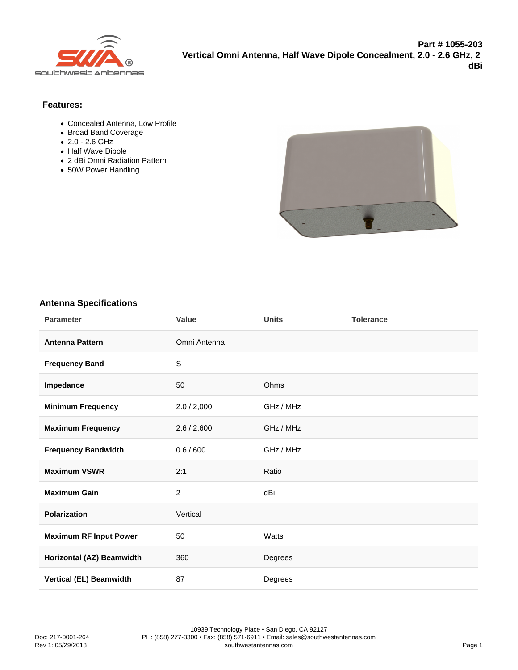Features:

- Concealed Antenna, Low Profile
- Broad Band Coverage
- 2.0 2.6 GHz
- Half Wave Dipole
- 2 dBi Omni Radiation Pattern
- 50W Power Handling

## Antenna Specifications

| Parameter                 | Value          | Units     | Tolerance |
|---------------------------|----------------|-----------|-----------|
| Antenna Pattern           | Omni Antenna   |           |           |
| Frequency Band            | $\mathbb S$    |           |           |
| Impedance                 | 50             | Ohms      |           |
| Minimum Frequency         | 2.0 / 2,000    | GHz / MHz |           |
| Maximum Frequency         | 2.6 / 2,600    | GHz / MHz |           |
| Frequency Bandwidth       | 0.6 / 600      | GHz / MHz |           |
| Maximum VSWR              | 2:1            | Ratio     |           |
| Maximum Gain              | $\overline{c}$ | dBi       |           |
| Polarization              | Vertical       |           |           |
| Maximum RF Input Power    | 50             | Watts     |           |
| Horizontal (AZ) Beamwidth | 360            | Degrees   |           |
| Vertical (EL) Beamwidth   | 87             | Degrees   |           |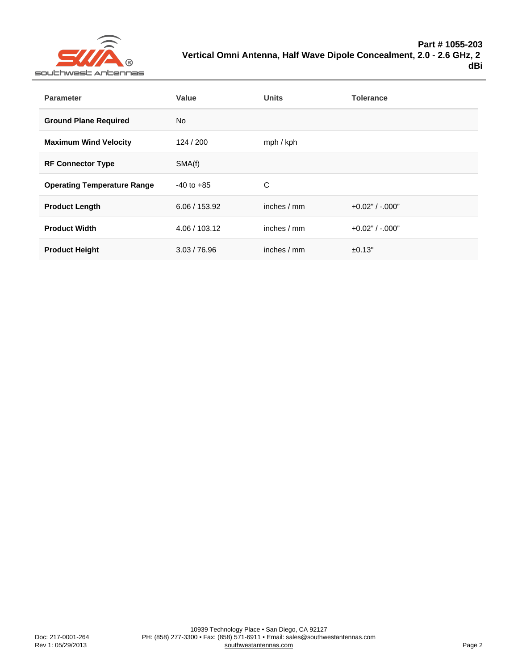| Parameter                          | Value          | Units        | Tolerance           |
|------------------------------------|----------------|--------------|---------------------|
| <b>Ground Plane Required</b>       | <b>No</b>      |              |                     |
| Maximum Wind Velocity              | 124 / 200      | mph / kph    |                     |
| <b>RF Connector Type</b>           | SMA(f)         |              |                     |
| <b>Operating Temperature Range</b> | $-40$ to $+85$ | C            |                     |
| Product Length                     | 6.06 / 153.92  | inches $/mm$ | $+0.02"$ / $-.000"$ |
| <b>Product Width</b>               | 4.06 / 103.12  | inches $/mm$ | $+0.02"$ / $-.000"$ |
| <b>Product Height</b>              | 3.03 / 76.96   | inches / mm  | ±0.13"              |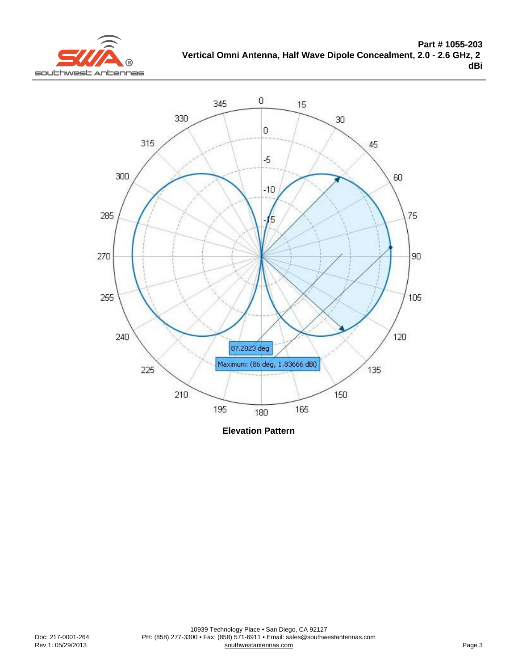Elevation Pattern